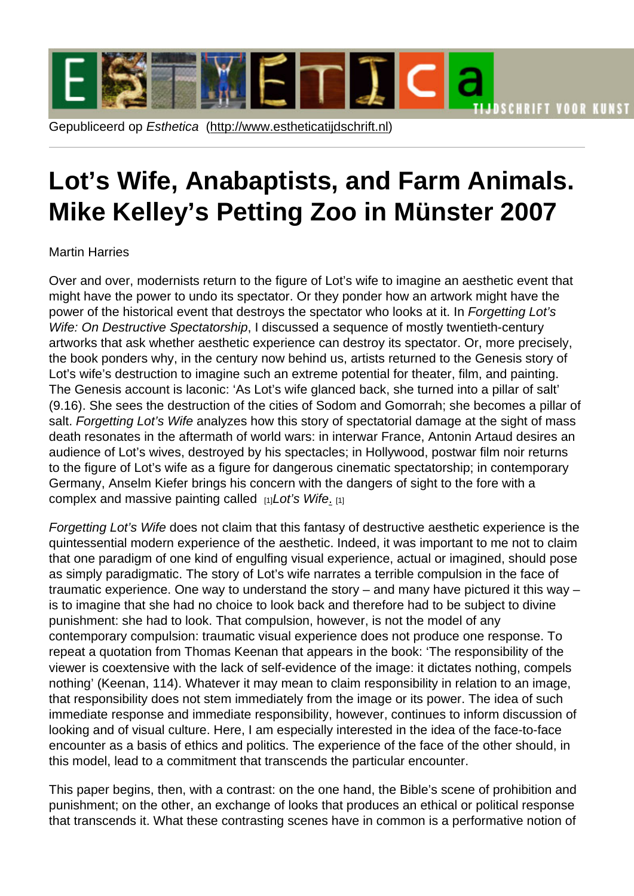# Lot's Wife, An[abaptists, and Fa](http://www.estheticatijdschrift.nl)rm Animals. Mike Kelley's Petting Zoo in Münster 2007

## Martin Harries

Over and over, modernists return to the figure of Lot's wife to imagine an aesthetic event that might have the power to undo its spectator. Or they ponder how an artwork might have the power of the historical event that destroys the spectator who looks at it. In Forgetting Lot's Wife: On Destructive Spectatorship, I discussed a sequence of mostly twentieth-century artworks that ask whether aesthetic experience can destroy its spectator. Or, more precisely, the book ponders why, in the century now behind us, artists returned to the Genesis story of Lot's wife's destruction to imagine such an extreme potential for theater, film, and painting. The Genesis account is laconic: 'As Lot's wife glanced back, she turned into a pillar of salt' (9.16). She sees the destruction of the cities of Sodom and Gomorrah; she becomes a pillar of salt. Forgetting Lot's Wife analyzes how this story of spectatorial damage at the sight of mass death resonates in the aftermath of world wars: in interwar France, Antonin Artaud desires an audience of Lot's wives, destroyed by his spectacles; in Hollywood, postwar film noir returns to the figure of Lot's wife as a figure for dangerous cinematic spectatorship; in contemporary Germany, Anselm Kiefer brings his concern with the dangers of sight to the fore with a complex and massive painting called  $_{[1]}$ Lot's Wife.  $_{[1]}$ 

Forgetting Lot's Wife does not claim that this fantasy of destructive aesthetic experience is the quintessential modern experience of the aesthetic. Indeed, it was important to me not to claim that one paradigm of one kind of en[gu](http://anselmkiefer2.blogspot.nl/2009/11/lots-wife-1989.html)lfing visual [e](http://anselmkiefer2.blogspot.nl/2009/11/lots-wife-1989.html)xperience, actual or imagined, should pose as simply paradigmatic. The story of Lot's wife narrates a terrible compulsion in the face of traumatic experience. One way to understand the story – and many have pictured it this way – is to imagine that she had no choice to look back and therefore had to be subject to divine punishment: she had to look. That compulsion, however, is not the model of any contemporary compulsion: traumatic visual experience does not produce one response. To repeat a quotation from Thomas Keenan that appears in the book: 'The responsibility of the viewer is coextensive with the lack of self-evidence of the image: it dictates nothing, compels nothing' (Keenan, 114). Whatever it may mean to claim responsibility in relation to an image, that responsibility does not stem immediately from the image or its power. The idea of such immediate response and immediate responsibility, however, continues to inform discussion of looking and of visual culture. Here, I am especially interested in the idea of the face-to-face encounter as a basis of ethics and politics. The experience of the face of the other should, in this model, lead to a commitment that transcends the particular encounter.

This paper begins, then, with a contrast: on the one hand, the Bible's scene of prohibition and punishment; on the other, an exchange of looks that produces an ethical or political response that transcends it. What these contrasting scenes have in common is a performative notion of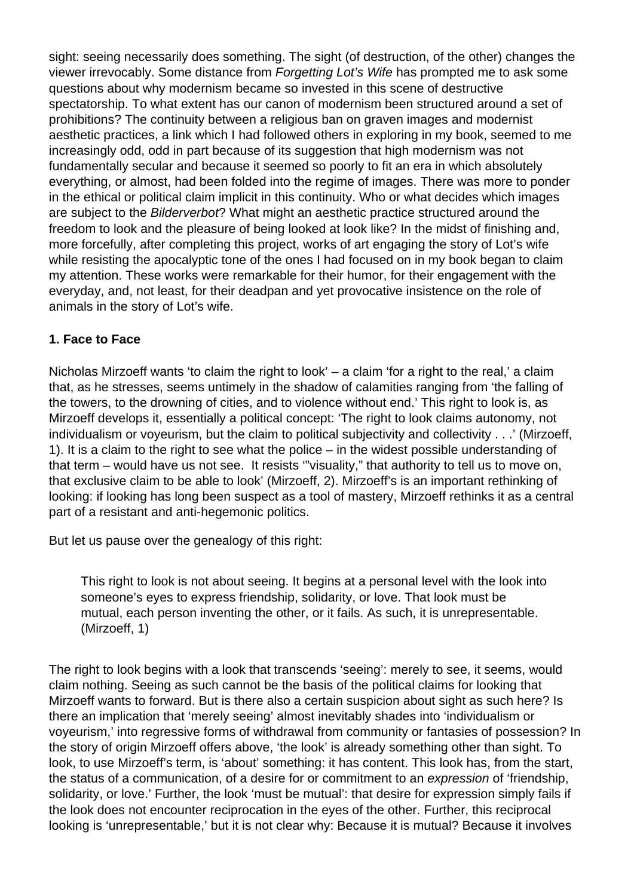sight: seeing necessarily does something. The sight (of destruction, of the other) changes the viewer irrevocably. Some distance from Forgetting Lot's Wife has prompted me to ask some questions about why modernism became so invested in this scene of destructive spectatorship. To what extent has our canon of modernism been structured around a set of prohibitions? The continuity between a religious ban on graven images and modernist aesthetic practices, a link which I had followed others in exploring in my book, seemed to me increasingly odd, odd in part because of its suggestion that high modernism was not fundamentally secular and because it seemed so poorly to fit an era in which absolutely everything, or almost, had been folded into the regime of images. There was more to ponder in the ethical or political claim implicit in this continuity. Who or what decides which images are subject to the Bilderverbot? What might an aesthetic practice structured around the freedom to look and the pleasure of being looked at look like? In the midst of finishing and, more forcefully, after completing this project, works of art engaging the story of Lot's wife while resisting the apocalyptic tone of the ones I had focused on in my book began to claim my attention. These works were remarkable for their humor, for their engagement with the everyday, and, not least, for their deadpan and yet provocative insistence on the role of animals in the story of Lot's wife.

# **1. Face to Face**

Nicholas Mirzoeff wants 'to claim the right to look' – a claim 'for a right to the real,' a claim that, as he stresses, seems untimely in the shadow of calamities ranging from 'the falling of the towers, to the drowning of cities, and to violence without end.' This right to look is, as Mirzoeff develops it, essentially a political concept: 'The right to look claims autonomy, not individualism or voyeurism, but the claim to political subjectivity and collectivity . . .' (Mirzoeff, 1). It is a claim to the right to see what the police – in the widest possible understanding of that term – would have us not see. It resists '"visuality," that authority to tell us to move on, that exclusive claim to be able to look' (Mirzoeff, 2). Mirzoeff's is an important rethinking of looking: if looking has long been suspect as a tool of mastery, Mirzoeff rethinks it as a central part of a resistant and anti-hegemonic politics.

But let us pause over the genealogy of this right:

This right to look is not about seeing. It begins at a personal level with the look into someone's eyes to express friendship, solidarity, or love. That look must be mutual, each person inventing the other, or it fails. As such, it is unrepresentable. (Mirzoeff, 1)

The right to look begins with a look that transcends 'seeing': merely to see, it seems, would claim nothing. Seeing as such cannot be the basis of the political claims for looking that Mirzoeff wants to forward. But is there also a certain suspicion about sight as such here? Is there an implication that 'merely seeing' almost inevitably shades into 'individualism or voyeurism,' into regressive forms of withdrawal from community or fantasies of possession? In the story of origin Mirzoeff offers above, 'the look' is already something other than sight. To look, to use Mirzoeff's term, is 'about' something: it has content. This look has, from the start, the status of a communication, of a desire for or commitment to an expression of 'friendship, solidarity, or love.' Further, the look 'must be mutual': that desire for expression simply fails if the look does not encounter reciprocation in the eyes of the other. Further, this reciprocal looking is 'unrepresentable,' but it is not clear why: Because it is mutual? Because it involves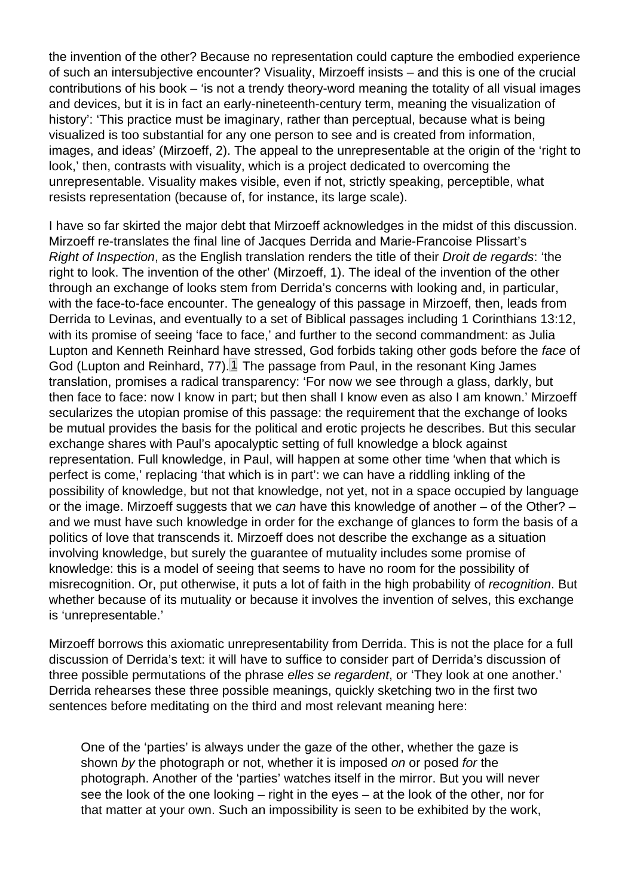<span id="page-2-0"></span>the invention of the other? Because no representation could capture the embodied experience of such an intersubjective encounter? Visuality, Mirzoeff insists – and this is one of the crucial contributions of his book – 'is not a trendy theory-word meaning the totality of all visual images and devices, but it is in fact an early-nineteenth-century term, meaning the visualization of history': 'This practice must be imaginary, rather than perceptual, because what is being visualized is too substantial for any one person to see and is created from information, images, and ideas' (Mirzoeff, 2). The appeal to the unrepresentable at the origin of the 'right to look,' then, contrasts with visuality, which is a project dedicated to overcoming the unrepresentable. Visuality makes visible, even if not, strictly speaking, perceptible, what resists representation (because of, for instance, its large scale).

I have so far skirted the major debt that Mirzoeff acknowledges in the midst of this discussion. Mirzoeff re-translates the final line of Jacques Derrida and Marie-Francoise Plissart's Right of Inspection, as the English translation renders the title of their Droit de regards: 'the right to look. The invention of the other' (Mirzoeff, 1). The ideal of the invention of the other through an exchange of looks stem from Derrida's concerns with looking and, in particular, with the face-to-face encounter. The genealogy of this passage in Mirzoeff, then, leads from Derrida to Levinas, and eventually to a set of Biblical passages including 1 Corinthians 13:12, with its promise of seeing 'face to face,' and further to the second commandment: as Julia Lupton and Kenneth Reinhard have stressed, God forbids taking other gods before the face of God (Lupton and Reinhard, 77). $\mathbb{1}$  The passage from Paul, in the resonant King James translation, promises a radical transparency: 'For now we see through a glass, darkly, but then face to face: now I know in part; but then shall I know even as also I am known.' Mirzoeff secularizes the utopian promise of this passage: the requirement that the exchange of looks be mutual provides the basis for the political and erotic projects he describes. But this secular exchange shares with Paul's apocalyptic setting of full knowledge a block against representation. Full knowledge, in Paul, will happen at some other time 'when that which is perfect is come,' replacing 'that which is in part': we can have a riddling inkling of the possibility of knowledge, but not that knowledge, not yet, not in a space occupied by language or the image. Mirzoeff suggests that we can have this knowledge of another – of the Other? – and we must have such knowledge in order for the exchange of glances to form the basis of a politics of love that transcends it. Mirzoeff does not describe the exchange as a situation involving knowledge, but surely the guarantee of mutuality includes some promise of knowledge: this is a model of seeing that seems to have no room for the possibility of misrecognition. Or, put otherwise, it puts a lot of faith in the high probability of recognition. But whether because of its mutuality or because it involves the invention of selves, this exchange is 'unrepresentable.'

Mirzoeff borrows this axiomatic unrepresentability from Derrida. This is not the place for a full discussion of Derrida's text: it will have to suffice to consider part of Derrida's discussion of three possible permutations of the phrase elles se regardent, or 'They look at one another.' Derrida rehearses these three possible meanings, quickly sketching two in the first two sentences before meditating on the third and most relevant meaning here:

One of the 'parties' is always under the gaze of the other, whether the gaze is shown by the photograph or not, whether it is imposed on or posed for the photograph. Another of the 'parties' watches itself in the mirror. But you will never see the look of the one looking – right in the eyes – at the look of the other, nor for that matter at your own. Such an impossibility is seen to be exhibited by the work,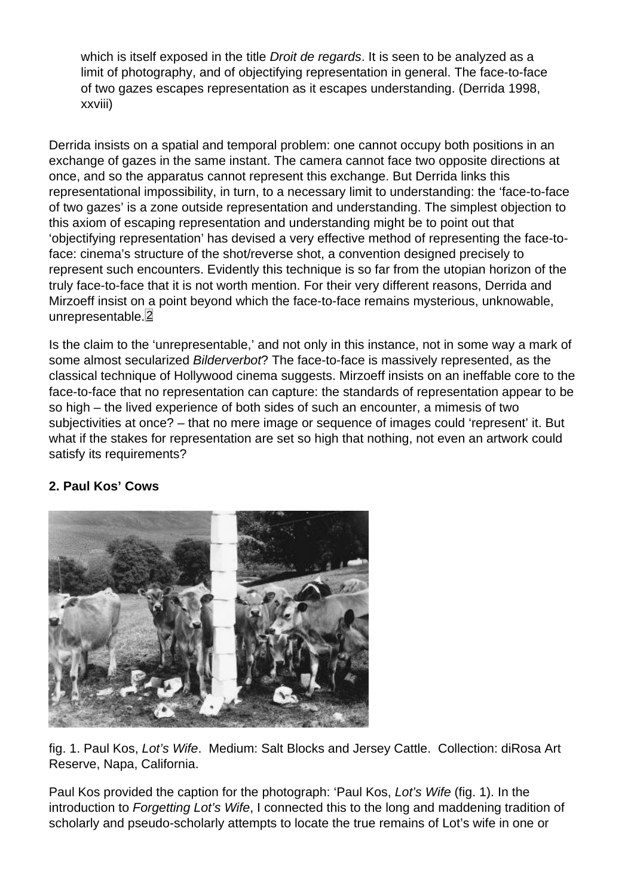<span id="page-3-0"></span>which is itself exposed in the title Droit de regards. It is seen to be analyzed as a limit of photography, and of objectifying representation in general. The face-to-face of two gazes escapes representation as it escapes understanding. (Derrida 1998, xxviii)

Derrida insists on a spatial and temporal problem: one cannot occupy both positions in an exchange of gazes in the same instant. The camera cannot face two opposite directions at once, and so the apparatus cannot represent this exchange. But Derrida links this representational impossibility, in turn, to a necessary limit to understanding: the 'face-to-face of two gazes' is a zone outside representation and understanding. The simplest objection to this axiom of escaping representation and understanding might be to point out that 'objectifying representation' has devised a very effective method of representing the face-toface: cinema's structure of the shot/reverse shot, a convention designed precisely to represent such encounters. Evidently this technique is so far from the utopian horizon of the truly face-to-face that it is not worth mention. For their very different reasons, Derrida and Mirzoeff insist on a point beyond which the face-to-face remains mysterious, unknowable, unrepresentable. 2

Is the claim to the 'unrepresentable,' and not only in this instance, not in some way a mark of some almost secularized Bilderverbot? The face-to-face is massively represented, as the classical technique of Hollywood cinema suggests. Mirzoeff insists on an ineffable core to the face-to-face that no representation can capture: the standards of representation appear to be so high – the lived experience of both sides of such an encounter, a mimesis of two subjectivities at once? – that no mere image or sequence of images could 'represent' it. But what if the stakes for representation are set so high that nothing, not even an artwork could satisfy its requirements?

2. Paul Kos' Cows

fig. 1. Paul Kos, Lot's Wife. Medium: Salt Blocks and Jersey Cattle. Collection: diRosa Art Reserve, Napa, California.

Paul Kos provided the caption for the photograph: 'Paul Kos, Lot's Wife (fig. 1). In the introduction to Forgetting Lot's Wife, I connected this to the long and maddening tradition of scholarly and pseudo-scholarly attempts to locate the true remains of Lot's wife in one or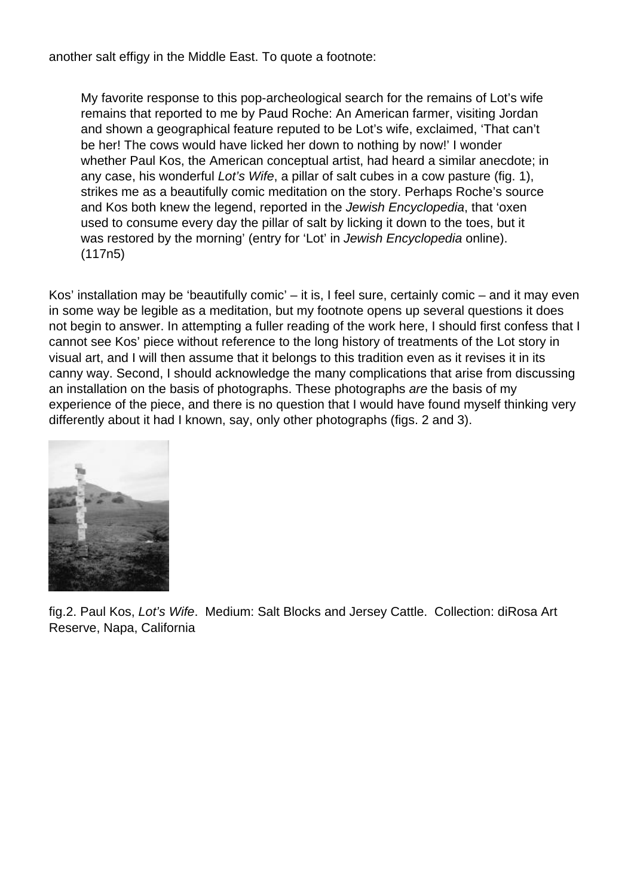another salt effigy in the Middle East. To quote a footnote:

My favorite response to this pop-archeological search for the remains of Lot's wife remains that reported to me by Paud Roche: An American farmer, visiting Jordan and shown a geographical feature reputed to be Lot's wife, exclaimed, 'That can't be her! The cows would have licked her down to nothing by now!' I wonder whether Paul Kos, the American conceptual artist, had heard a similar anecdote; in any case, his wonderful Lot's Wife, a pillar of salt cubes in a cow pasture (fig. 1), strikes me as a beautifully comic meditation on the story. Perhaps Roche's source and Kos both knew the legend, reported in the Jewish Encyclopedia, that 'oxen used to consume every day the pillar of salt by licking it down to the toes, but it was restored by the morning' (entry for 'Lot' in Jewish Encyclopedia online). (117n5)

Kos' installation may be 'beautifully comic' – it is, I feel sure, certainly comic – and it may even in some way be legible as a meditation, but my footnote opens up several questions it does not begin to answer. In attempting a fuller reading of the work here, I should first confess that I cannot see Kos' piece without reference to the long history of treatments of the Lot story in visual art, and I will then assume that it belongs to this tradition even as it revises it in its canny way. Second, I should acknowledge the many complications that arise from discussing an installation on the basis of photographs. These photographs are the basis of my experience of the piece, and there is no question that I would have found myself thinking very differently about it had I known, say, only other photographs (figs. 2 and 3).



fig.2. Paul Kos, Lot's Wife. Medium: Salt Blocks and Jersey Cattle. Collection: diRosa Art Reserve, Napa, California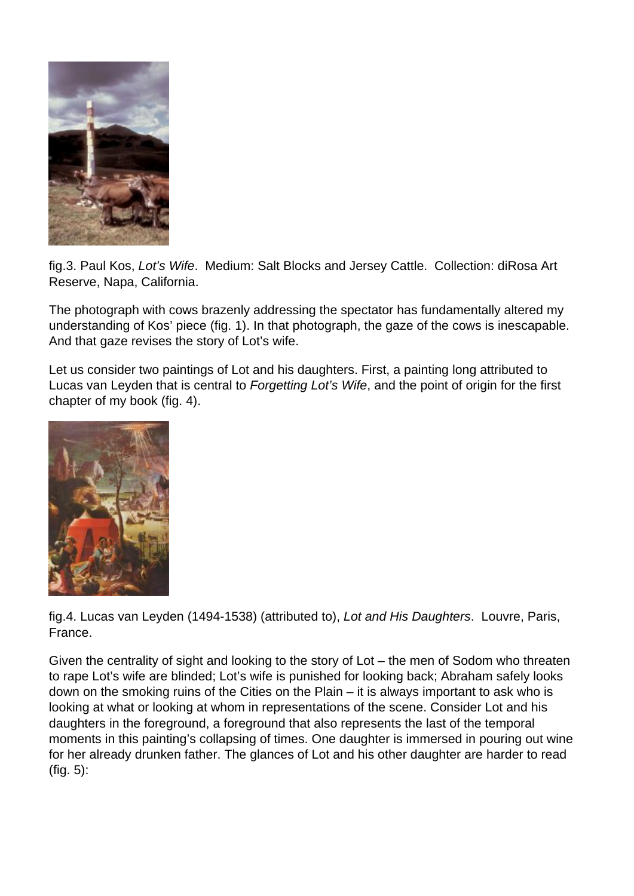

fig.3. Paul Kos, Lot's Wife. Medium: Salt Blocks and Jersey Cattle. Collection: diRosa Art Reserve, Napa, California.

The photograph with cows brazenly addressing the spectator has fundamentally altered my understanding of Kos' piece (fig. 1). In that photograph, the gaze of the cows is inescapable. And that gaze revises the story of Lot's wife.

Let us consider two paintings of Lot and his daughters. First, a painting long attributed to Lucas van Leyden that is central to Forgetting Lot's Wife, and the point of origin for the first chapter of my book (fig. 4).



fig.4. Lucas van Leyden (1494-1538) (attributed to), Lot and His Daughters. Louvre, Paris, France.

Given the centrality of sight and looking to the story of Lot – the men of Sodom who threaten to rape Lot's wife are blinded; Lot's wife is punished for looking back; Abraham safely looks down on the smoking ruins of the Cities on the Plain – it is always important to ask who is looking at what or looking at whom in representations of the scene. Consider Lot and his daughters in the foreground, a foreground that also represents the last of the temporal moments in this painting's collapsing of times. One daughter is immersed in pouring out wine for her already drunken father. The glances of Lot and his other daughter are harder to read (fig. 5):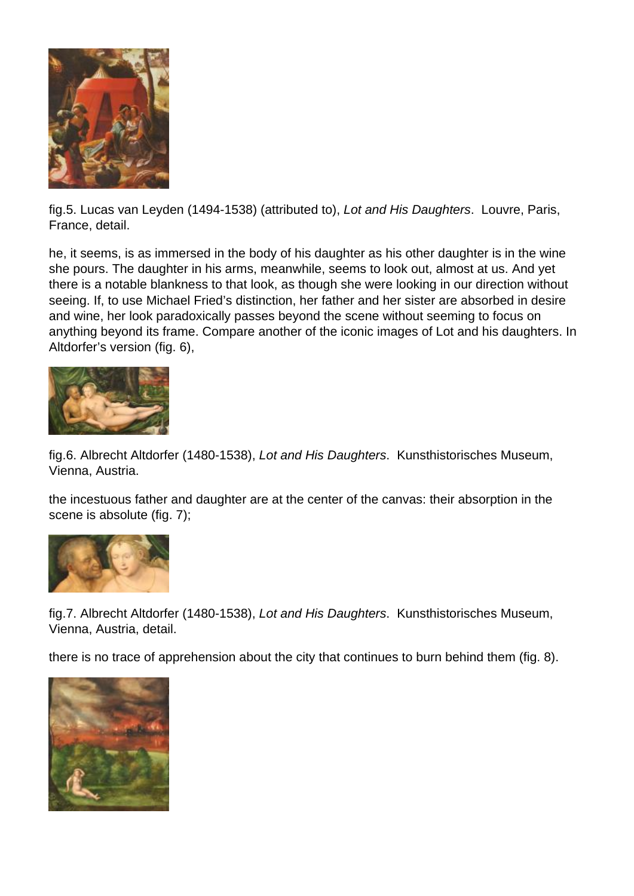

fig.5. Lucas van Leyden (1494-1538) (attributed to), Lot and His Daughters. Louvre, Paris, France, detail.

he, it seems, is as immersed in the body of his daughter as his other daughter is in the wine she pours. The daughter in his arms, meanwhile, seems to look out, almost at us. And yet there is a notable blankness to that look, as though she were looking in our direction without seeing. If, to use Michael Fried's distinction, her father and her sister are absorbed in desire and wine, her look paradoxically passes beyond the scene without seeming to focus on anything beyond its frame. Compare another of the iconic images of Lot and his daughters. In Altdorfer's version (fig. 6),



fig.6. Albrecht Altdorfer (1480-1538), Lot and His Daughters. Kunsthistorisches Museum, Vienna, Austria.

the incestuous father and daughter are at the center of the canvas: their absorption in the scene is absolute (fig. 7);



fig.7. Albrecht Altdorfer (1480-1538), Lot and His Daughters. Kunsthistorisches Museum, Vienna, Austria, detail.

there is no trace of apprehension about the city that continues to burn behind them (fig. 8).

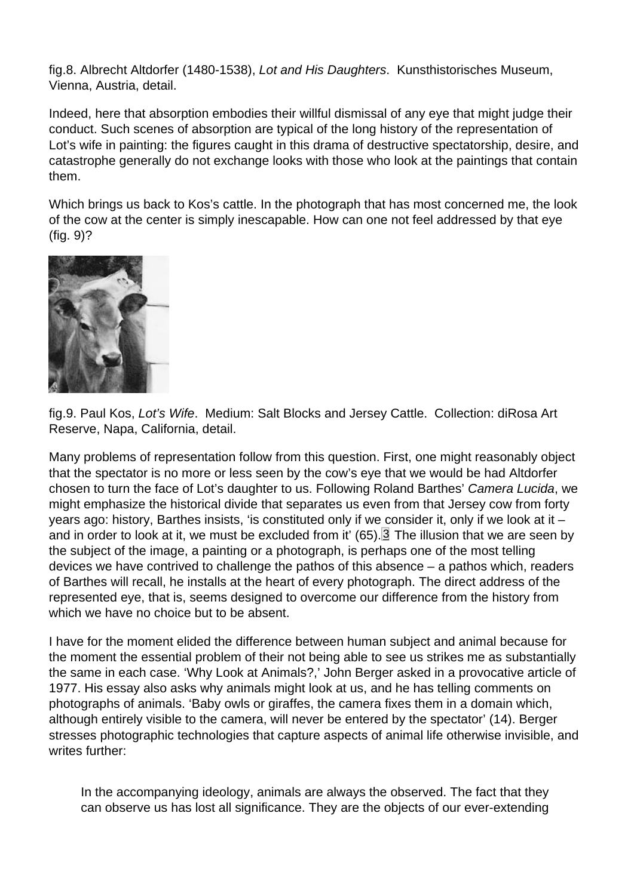<span id="page-7-0"></span>fig.8. Albrecht Altdorfer (1480-1538), Lot and His Daughters. Kunsthistorisches Museum, Vienna, Austria, detail.

Indeed, here that absorption embodies their willful dismissal of any eye that might judge their conduct. Such scenes of absorption are typical of the long history of the representation of Lot's wife in painting: the figures caught in this drama of destructive spectatorship, desire, and catastrophe generally do not exchange looks with those who look at the paintings that contain them.

Which brings us back to Kos's cattle. In the photograph that has most concerned me, the look of the cow at the center is simply inescapable. How can one not feel addressed by that eye (fig. 9)?

fig.9. Paul Kos, Lot's Wife. Medium: Salt Blocks and Jersey Cattle. Collection: diRosa Art Reserve, Napa, California, detail.

Many problems of representation follow from this question. First, one might reasonably object that the spectator is no more or less seen by the cow's eye that we would be had Altdorfer chosen to turn the face of Lot's daughter to us. Following Roland Barthes' Camera Lucida, we might emphasize the historical divide that separates us even from that Jersey cow from forty years ago: history, Barthes insists, 'is constituted only if we consider it, only if we look at it – and in order to look at it, we must be excluded from it' (65).  $\boxed{3}$  The illusion that we are seen by the subject of the image, a painting or a photograph, is perhaps one of the most telling devices we have contrived to challenge the pathos of this absence – a pathos which, readers of Barthes will recall, he installs at the heart of every photograph. The direct address of the represented eye, that is, seems designed to overcome our difference from the history from which we have no choice but to be absent.

I have for the moment elided the difference between human subject and animal because for the moment the essential problem of their not being able to see us strikes me as substantially the same in each case. 'Why Look at Animals?,' John Berger asked in a provocative article of 1977. His essay also asks why animals might look at us, and he has telling comments on photographs of animals. 'Baby owls or giraffes, the camera fixes them in a domain which, although entirely visible to the camera, will never be entered by the spectator' (14). Berger stresses photographic technologies that capture aspects of animal life otherwise invisible, and writes further:

In the accompanying ideology, animals are always the observed. The fact that they can observe us has lost all significance. They are the objects of our ever-extending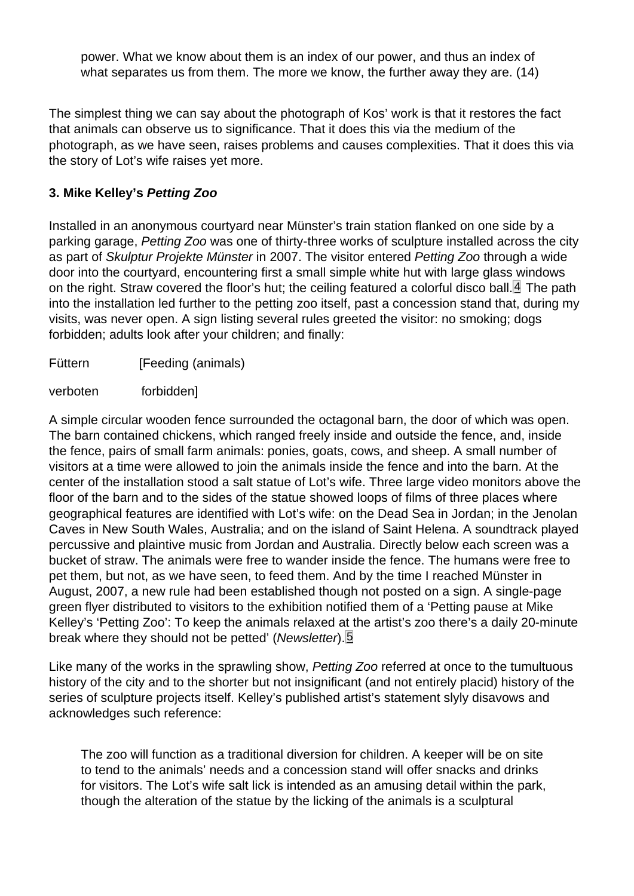power. What we know about them is an index of our power, and thus an index of what separates us from them. The more we know, the further away they are. (14)

<span id="page-8-0"></span>The simplest thing we can say about the photograph of Kos' work is that it restores the fact that animals can observe us to significance. That it does this via the medium of the photograph, as we have seen, raises problems and causes complexities. That it does this via the story of Lot's wife raises yet more.

#### 3. Mike Kelley's Petting Zoo

Installed in an anonymous courtyard near Münster's train station flanked on one side by a parking garage, Petting Zoo was one of thirty-three works of sculpture installed across the city as part of Skulptur Projekte Münster in 2007. The visitor entered Petting Zoo through a wide door into the courtyard, encountering first a small simple white hut with large glass windows on the right. Straw covered the floor's hut; the ceiling featured a colorful disco ball.  $\mathbf{\mathbf{\underline{4}}}$  The path into the installation led further to the petting zoo itself, past a concession stand that, during my visits, was never open. A sign listing several rules greeted the visitor: no smoking; dogs forbidden; adults look after your children; and finally:

Füttern [Feeding (animals)

verboten forbidden]

A simple circular wooden fence surrounded the octagonal barn, the door of which was open. The barn contained chickens, which ranged freely inside and outside the fence, and, inside the fence, pairs of small farm animals: ponies, goats, cows, and sheep. A small number of visitors at a time were allowed to join the animals inside the fence and into the barn. At the center of the installation stood a salt statue of Lot's wife. Three large video monitors above the floor of the barn and to the sides of the statue showed loops of films of three places where geographical features are identified with Lot's wife: on the Dead Sea in Jordan; in the Jenolan Caves in New South Wales, Australia; and on the island of Saint Helena. A soundtrack played percussive and plaintive music from Jordan and Australia. Directly below each screen was a bucket of straw. The animals were free to wander inside the fence. The humans were free to pet them, but not, as we have seen, to feed them. And by the time I reached Münster in August, 2007, a new rule had been established though not posted on a sign. A single-page green flyer distributed to visitors to the exhibition notified them of a 'Petting pause at Mike Kelley's 'Petting Zoo': To keep the animals relaxed at the artist's zoo there's a daily 20-minute break where they should not be petted' (Newsletter). 5

Like many of the works in the sprawling show, Petting Zoo referred at once to the tumultuous history of the city and to the shorter but not insignificant (and not entirely placid) history of the series of sculpture projects itself. Kelley's published artist's statement slyly disavows and acknowledges such reference:

The zoo will function as a traditional diversion for children. A keeper will be on site to tend to the animals' needs and a concession stand will offer snacks and drinks for visitors. The Lot's wife salt lick is intended as an amusing detail within the park, though the alteration of the statue by the licking of the animals is a sculptural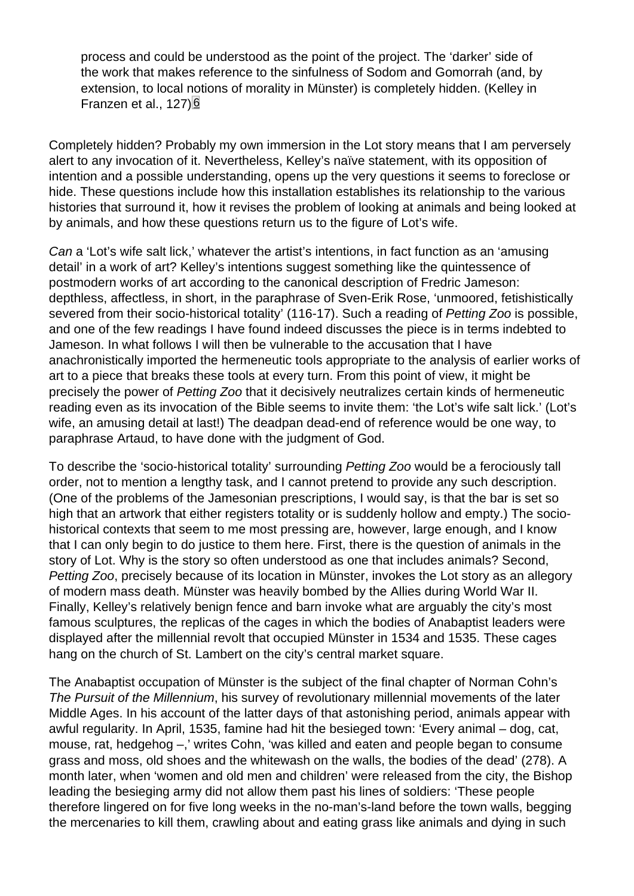<span id="page-9-0"></span>process and could be understood as the point of the project. The 'darker' side of the work that makes reference to the sinfulness of Sodom and Gomorrah (and, by extension, to local notions of morality in Münster) is completely hidden. (Kelley in Franzen et al., 127)<sup>6</sup>

Completely hidden? Probably my own immersion in the Lot story means that I am perversely alert to any invocation of it. Nevertheless, Kelley's naïve statement, with its opposition of intention and a possible understanding, opens up the very questions it seems to foreclose or hide. These questions include how this installation establishes its relationship to the various histories that surround it, how it revises the problem of looking at animals and being looked at by animals, and how these questions return us to the figure of Lot's wife.

Can a 'Lot's wife salt lick,' whatever the artist's intentions, in fact function as an 'amusing detail' in a work of art? Kelley's intentions suggest something like the quintessence of postmodern works of art according to the canonical description of Fredric Jameson: depthless, affectless, in short, in the paraphrase of Sven-Erik Rose, 'unmoored, fetishistically severed from their socio-historical totality' (116-17). Such a reading of Petting Zoo is possible, and one of the few readings I have found indeed discusses the piece is in terms indebted to Jameson. In what follows I will then be vulnerable to the accusation that I have anachronistically imported the hermeneutic tools appropriate to the analysis of earlier works of art to a piece that breaks these tools at every turn. From this point of view, it might be precisely the power of Petting Zoo that it decisively neutralizes certain kinds of hermeneutic reading even as its invocation of the Bible seems to invite them: 'the Lot's wife salt lick.' (Lot's wife, an amusing detail at last!) The deadpan dead-end of reference would be one way, to paraphrase Artaud, to have done with the judgment of God.

To describe the 'socio-historical totality' surrounding Petting Zoo would be a ferociously tall order, not to mention a lengthy task, and I cannot pretend to provide any such description. (One of the problems of the Jamesonian prescriptions, I would say, is that the bar is set so high that an artwork that either registers totality or is suddenly hollow and empty.) The sociohistorical contexts that seem to me most pressing are, however, large enough, and I know that I can only begin to do justice to them here. First, there is the question of animals in the story of Lot. Why is the story so often understood as one that includes animals? Second, Petting Zoo, precisely because of its location in Münster, invokes the Lot story as an allegory of modern mass death. Münster was heavily bombed by the Allies during World War II. Finally, Kelley's relatively benign fence and barn invoke what are arguably the city's most famous sculptures, the replicas of the cages in which the bodies of Anabaptist leaders were displayed after the millennial revolt that occupied Münster in 1534 and 1535. These cages hang on the church of St. Lambert on the city's central market square.

The Anabaptist occupation of Münster is the subject of the final chapter of Norman Cohn's The Pursuit of the Millennium, his survey of revolutionary millennial movements of the later Middle Ages. In his account of the latter days of that astonishing period, animals appear with awful regularity. In April, 1535, famine had hit the besieged town: 'Every animal – dog, cat, mouse, rat, hedgehog –,' writes Cohn, 'was killed and eaten and people began to consume grass and moss, old shoes and the whitewash on the walls, the bodies of the dead' (278). A month later, when 'women and old men and children' were released from the city, the Bishop leading the besieging army did not allow them past his lines of soldiers: 'These people therefore lingered on for five long weeks in the no-man's-land before the town walls, begging the mercenaries to kill them, crawling about and eating grass like animals and dying in such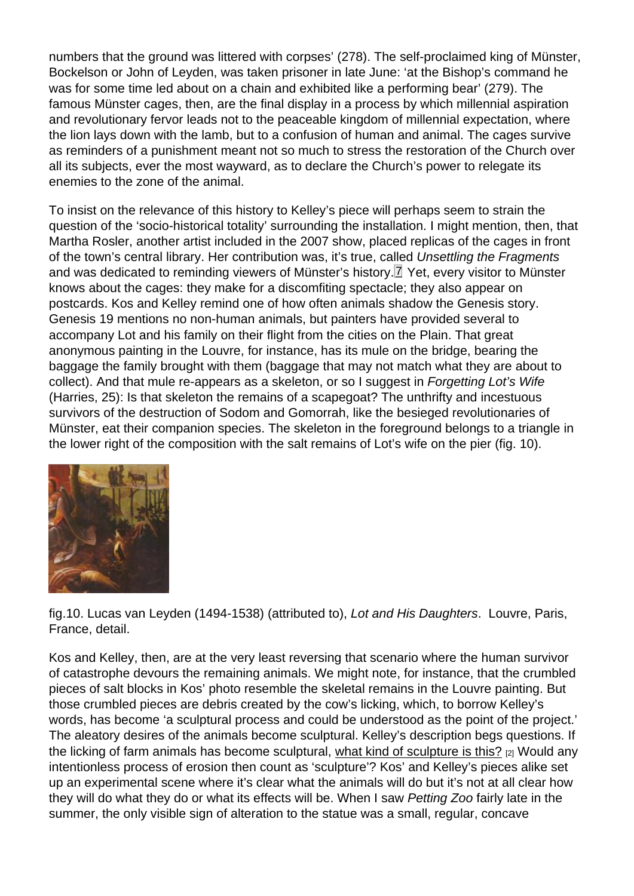<span id="page-10-0"></span>numbers that the ground was littered with corpses' (278). The self-proclaimed king of Münster, Bockelson or John of Leyden, was taken prisoner in late June: 'at the Bishop's command he was for some time led about on a chain and exhibited like a performing bear' (279). The famous Münster cages, then, are the final display in a process by which millennial aspiration and revolutionary fervor leads not to the peaceable kingdom of millennial expectation, where the lion lays down with the lamb, but to a confusion of human and animal. The cages survive as reminders of a punishment meant not so much to stress the restoration of the Church over all its subjects, ever the most wayward, as to declare the Church's power to relegate its enemies to the zone of the animal.

To insist on the relevance of this history to Kelley's piece will perhaps seem to strain the question of the 'socio-historical totality' surrounding the installation. I might mention, then, that Martha Rosler, another artist included in the 2007 show, placed replicas of the cages in front of the town's central library. Her contribution was, it's true, called Unsettling the Fragments and was dedicated to reminding viewers of Münster's history.<sup>[7]</sup> Yet, every visitor to Münster knows about the cages: they make for a discomfiting spectacle; they also appear on postcards. Kos and Kelley remind one of how often animals shadow the Genesis story. Genesis 19 mentions no non-human animals, but painters have provided several to accompany Lot and his family on their flight from the cities on the Plain. That great anonymous painting in the Louvre, for instance, has its mule on the bridge, bearing the baggage the family brought with them (baggage that may not match what they are about to collect). And that mule re-appears as a skeleton, or so I suggest in Forgetting Lot's Wife (Harries, 25): Is that skeleton the remains of a scapegoat? The unthrifty and incestuous survivors of the destruction of Sodom and Gomorrah, like the besieged revolutionaries of Münster, eat their companion species. The skeleton in the foreground belongs to a triangle in the lower right of the composition with the salt remains of Lot's wife on the pier (fig. 10).

fig.10. Lucas van Leyden (1494-1538) (attributed to), Lot and His Daughters. Louvre, Paris, France, detail.

Kos and Kelley, then, are at the very least reversing that scenario where the human survivor of catastrophe devours the remaining animals. We might note, for instance, that the crumbled pieces of salt blocks in Kos' photo resemble the skeletal remains in the Louvre painting. But those crumbled pieces are debris created by the cow's licking, which, to borrow Kelley's words, has become 'a sculptural process and could be understood as the point of the project.' The aleatory desires of the animals become sculptural. Kelley's description begs questions. If the licking of farm animals has become sculptural, what kind of sculpture is this? <sub>[2]</sub> Would any intentionless process of erosion then count as 'sculpture'? Kos' and Kelley's pieces alike set up an experimental scene where it's clear what the animals will do but it's not at all clear how they will do what they do or what its effects will be. [When I saw Petting Zoo fairly](http://www.youtube.com/watch?v=FGIdX66tFzE) late in the summer, the only visible sign of alteration to the statue was a small, regular, concave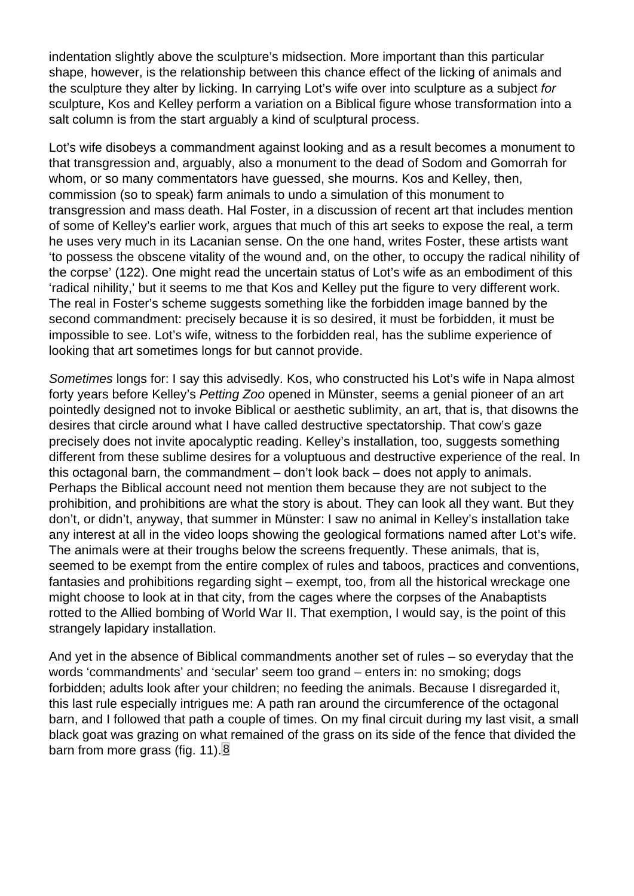<span id="page-11-0"></span>indentation slightly above the sculpture's midsection. More important than this particular shape, however, is the relationship between this chance effect of the licking of animals and the sculpture they alter by licking. In carrying Lot's wife over into sculpture as a subject for sculpture, Kos and Kelley perform a variation on a Biblical figure whose transformation into a salt column is from the start arguably a kind of sculptural process.

Lot's wife disobeys a commandment against looking and as a result becomes a monument to that transgression and, arguably, also a monument to the dead of Sodom and Gomorrah for whom, or so many commentators have guessed, she mourns. Kos and Kelley, then, commission (so to speak) farm animals to undo a simulation of this monument to transgression and mass death. Hal Foster, in a discussion of recent art that includes mention of some of Kelley's earlier work, argues that much of this art seeks to expose the real, a term he uses very much in its Lacanian sense. On the one hand, writes Foster, these artists want 'to possess the obscene vitality of the wound and, on the other, to occupy the radical nihility of the corpse' (122). One might read the uncertain status of Lot's wife as an embodiment of this 'radical nihility,' but it seems to me that Kos and Kelley put the figure to very different work. The real in Foster's scheme suggests something like the forbidden image banned by the second commandment: precisely because it is so desired, it must be forbidden, it must be impossible to see. Lot's wife, witness to the forbidden real, has the sublime experience of looking that art sometimes longs for but cannot provide.

Sometimes longs for: I say this advisedly. Kos, who constructed his Lot's wife in Napa almost forty years before Kelley's Petting Zoo opened in Münster, seems a genial pioneer of an art pointedly designed not to invoke Biblical or aesthetic sublimity, an art, that is, that disowns the desires that circle around what I have called destructive spectatorship. That cow's gaze precisely does not invite apocalyptic reading. Kelley's installation, too, suggests something different from these sublime desires for a voluptuous and destructive experience of the real. In this octagonal barn, the commandment – don't look back – does not apply to animals. Perhaps the Biblical account need not mention them because they are not subject to the prohibition, and prohibitions are what the story is about. They can look all they want. But they don't, or didn't, anyway, that summer in Münster: I saw no animal in Kelley's installation take any interest at all in the video loops showing the geological formations named after Lot's wife. The animals were at their troughs below the screens frequently. These animals, that is, seemed to be exempt from the entire complex of rules and taboos, practices and conventions, fantasies and prohibitions regarding sight – exempt, too, from all the historical wreckage one might choose to look at in that city, from the cages where the corpses of the Anabaptists rotted to the Allied bombing of World War II. That exemption, I would say, is the point of this strangely lapidary installation.

And yet in the absence of Biblical commandments another set of rules – so everyday that the words 'commandments' and 'secular' seem too grand – enters in: no smoking; dogs forbidden; adults look after your children; no feeding the animals. Because I disregarded it, this last rule especially intrigues me: A path ran around the circumference of the octagonal barn, and I followed that path a couple of times. On my final circuit during my last visit, a small black goat was grazing on what remained of the grass on its side of the fence that divided the barn from more grass (fig. 11). $8$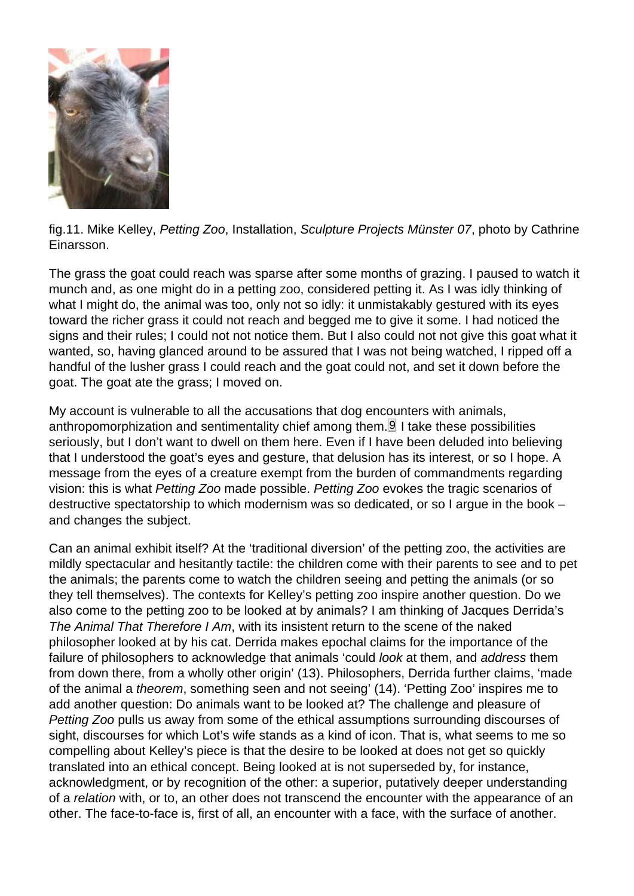<span id="page-12-0"></span>fig.11. Mike Kelley, Petting Zoo, Installation, Sculpture Projects Münster 07, photo by Cathrine Einarsson.

The grass the goat could reach was sparse after some months of grazing. I paused to watch it munch and, as one might do in a petting zoo, considered petting it. As I was idly thinking of what I might do, the animal was too, only not so idly: it unmistakably gestured with its eyes toward the richer grass it could not reach and begged me to give it some. I had noticed the signs and their rules; I could not not notice them. But I also could not not give this goat what it wanted, so, having glanced around to be assured that I was not being watched, I ripped off a handful of the lusher grass I could reach and the goat could not, and set it down before the goat. The goat ate the grass; I moved on.

My account is vulnerable to all the accusations that dog encounters with animals, anthropomorphization and sentimentality chief among them. $9$  I take these possibilities seriously, but I don't want to dwell on them here. Even if I have been deluded into believing that I understood the goat's eyes and gesture, that delusion has its interest, or so I hope. A message from the eyes of a creature exempt from the burden of commandments regarding vision: this is what Petting Zoo made possible. Petting Zoo evokes the tragic scenarios of destructive spectatorship to which modernism was so dedicated, or so I argue in the book – and changes the subject.

Can an animal exhibit itself? At the 'traditional diversion' of the petting zoo, the activities are mildly spectacular and hesitantly tactile: the children come with their parents to see and to pet the animals; the parents come to watch the children seeing and petting the animals (or so they tell themselves). The contexts for Kelley's petting zoo inspire another question. Do we also come to the petting zoo to be looked at by animals? I am thinking of Jacques Derrida's The Animal That Therefore I Am, with its insistent return to the scene of the naked philosopher looked at by his cat. Derrida makes epochal claims for the importance of the failure of philosophers to acknowledge that animals 'could look at them, and address them from down there, from a wholly other origin' (13). Philosophers, Derrida further claims, 'made of the animal a theorem, something seen and not seeing' (14). 'Petting Zoo' inspires me to add another question: Do animals want to be looked at? The challenge and pleasure of Petting Zoo pulls us away from some of the ethical assumptions surrounding discourses of sight, discourses for which Lot's wife stands as a kind of icon. That is, what seems to me so compelling about Kelley's piece is that the desire to be looked at does not get so quickly translated into an ethical concept. Being looked at is not superseded by, for instance, acknowledgment, or by recognition of the other: a superior, putatively deeper understanding of a relation with, or to, an other does not transcend the encounter with the appearance of an other. The face-to-face is, first of all, an encounter with a face, with the surface of another.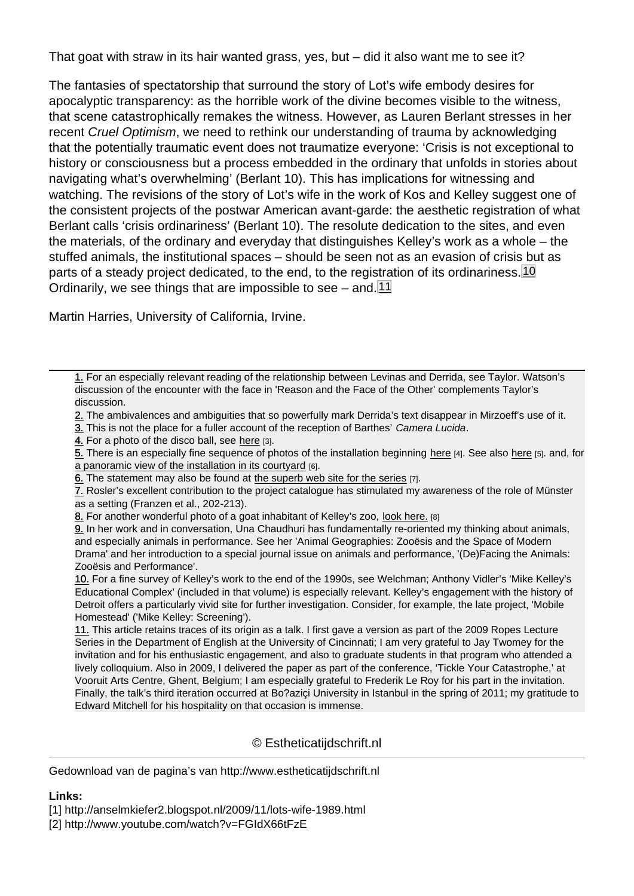That goat with straw in its hair wanted grass, yes, but – did it also want me to see it?

The fantasies of spectatorship that surround the story of Lot's wife embody desires for apocalyptic transparency: as the horrible work of the divine becomes visible to the witness, that scene catastrophically remakes the witness. However, as Lauren Berlant stresses in her recent Cruel Optimism, we need to rethink our understanding of trauma by acknowledging that the potentially traumatic event does not traumatize everyone: 'Crisis is not exceptional to history or consciousness but a process embedded in the ordinary that unfolds in stories about navigating what's overwhelming' (Berlant 10). This has implications for witnessing and watching. The revisions of the story of Lot's wife in the work of Kos and Kelley suggest one of the consistent projects of the postwar American avant-garde: the aesthetic registration of what Berlant calls 'crisis ordinariness' (Berlant 10). The resolute dedication to the sites, and even the materials, of the ordinary and everyday that distinguishes Kelley's work as a whole – the stuffed animals, the institutional spaces – should be seen not as an evasion of crisis but as parts of a steady project dedicated, to the end, to the registration of its ordinariness. 10 Ordinarily, we see things that are impossible to see – and. 11

Martin Harries, University of California, Irvine.

1. For an especially relevant reading of the relationship between Levinas and Derrida, see Taylor. Watson's 1. discussion of the encounter with the face in 'Reason and the Face of the Other' complements Taylor's discussion.

2. The ambivalences and ambiguities that so powerfully mark Derrida's text disappear in Mirzoeff's use of it. 2.

[3.](#page-2-0) This is not the place for a fuller account of the reception of Barthes' Camera Lucida.

4. For a photo of the disco ball, see here [3].

5. There is an especially fine sequence of photos of the installation beginning here [4]. See also here [5]. and, for [a](#page-3-0) panoramic view of the installation in its courtyard [6].

[6.](#page-7-0) The statement may also be found at the superb web site for the series [7].

[7.](#page-8-0) Rosler's excellent contribution to [the p](http://www.flickr.com/photos/en_moto_2/967920018)roject catalogue has stimulated my awareness of the role of Münster 7. [as](#page-8-0) a setting (Franzen et al., 202-213).

[8. For another wonderful photo of a goat inhabitant](http://www.artforworldexpo.com/InitialProject/works_37_MikeKelley.html) of Kelley's zoo, look here. [8]

[9.](#page-9-0) In her work and in conversation, Un[a Chaudhuri has fundamentally re-](http://www.skulptur-projekte.de/kuenstler/kelley/)oriented my thinking about animals, [an](#page-10-0)d especially animals in performance. See her 'Animal Geographies: Zooësis and the Space of Modern Drama' and her introduction to a special journal issue on animals and performance, '(De)Facing the Animals: [Zo](#page-11-0)oësis and Performance'.

[10](#page-12-0). For a fine survey of Kelley's work to the end of the 1990s, see Welchman; Anthony Vidler's 'Mike Kelley's Educational Complex' (included in that volume) is especially relevant. Kelley's engagement with the history of Detroit offers a particularly vivid site for further investigation. Consider, for example, the late project, 'Mobile Homestead' ('Mike Kelley: Screening').

11. This article retains traces of its origin as a talk. I first gave a version as part of the 2009 Ropes Lecture Series in the Department of English at the University of Cincinnati; I am very grateful to Jay Twomey for the invitation and for his enthusiastic engagement, and also to graduate students in that program who attended a lively colloquium. Also in 2009, I delivered the paper as part of the conference, 'Tickle Your Catastrophe,' at Vooruit Arts Centre, Ghent, Belgium; I am especially grateful to Frederik Le Roy for his part in the invitation. Finally, the talk's third iteration occurred at Bo?aziçi University in Istanbul in the spring of 2011; my gratitude to Edward Mitchell for his hospitality on that occasion is immense.

### © Estheticatijdschrift.nl

Gedownload van de pagina's van http://www.estheticatijdschrift.nl

Links:

[1] http://anselmkiefer2.blogspot.nl/2009/11/lots-wife-1989.html

[2] http://www.youtube.com/watch?v=FGIdX66tFzE